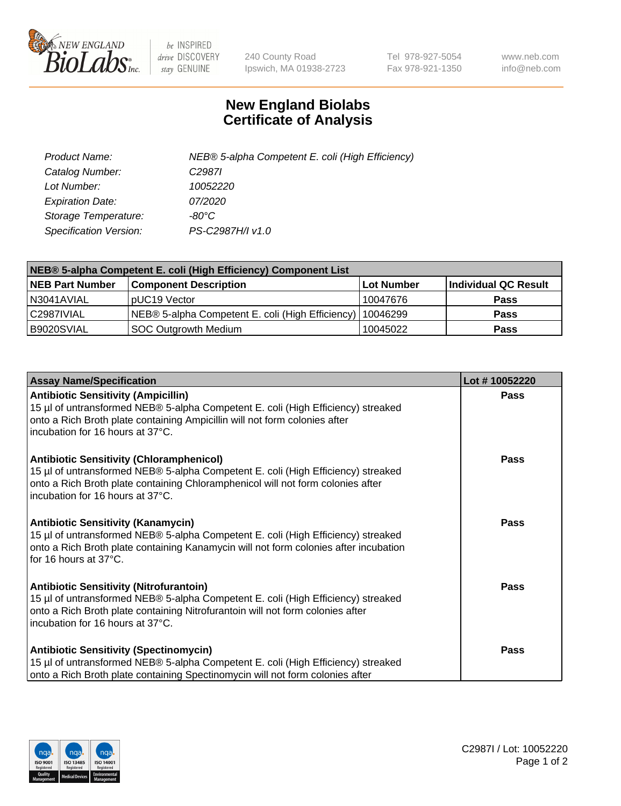

 $be$  INSPIRED drive DISCOVERY stay GENUINE

240 County Road Ipswich, MA 01938-2723 Tel 978-927-5054 Fax 978-921-1350 www.neb.com info@neb.com

## **New England Biolabs Certificate of Analysis**

| Product Name:           | NEB® 5-alpha Competent E. coli (High Efficiency) |
|-------------------------|--------------------------------------------------|
| Catalog Number:         | C <sub>2987</sub>                                |
| Lot Number:             | 10052220                                         |
| <b>Expiration Date:</b> | 07/2020                                          |
| Storage Temperature:    | -80°C                                            |
| Specification Version:  | PS-C2987H/I v1.0                                 |

| NEB® 5-alpha Competent E. coli (High Efficiency) Component List |                                                  |            |                      |  |
|-----------------------------------------------------------------|--------------------------------------------------|------------|----------------------|--|
| <b>NEB Part Number</b>                                          | <b>Component Description</b>                     | Lot Number | Individual QC Result |  |
| N3041AVIAL                                                      | pUC19 Vector                                     | 10047676   | <b>Pass</b>          |  |
| C2987IVIAL                                                      | NEB® 5-alpha Competent E. coli (High Efficiency) | 10046299   | <b>Pass</b>          |  |
| B9020SVIAL                                                      | <b>SOC Outgrowth Medium</b>                      | 10045022   | <b>Pass</b>          |  |

| <b>Assay Name/Specification</b>                                                                                                                                                                                                                            | Lot #10052220 |
|------------------------------------------------------------------------------------------------------------------------------------------------------------------------------------------------------------------------------------------------------------|---------------|
| <b>Antibiotic Sensitivity (Ampicillin)</b><br>15 µl of untransformed NEB® 5-alpha Competent E. coli (High Efficiency) streaked<br>onto a Rich Broth plate containing Ampicillin will not form colonies after<br>incubation for 16 hours at 37°C.           | Pass          |
| <b>Antibiotic Sensitivity (Chloramphenicol)</b><br>15 µl of untransformed NEB® 5-alpha Competent E. coli (High Efficiency) streaked<br>onto a Rich Broth plate containing Chloramphenicol will not form colonies after<br>incubation for 16 hours at 37°C. | Pass          |
| Antibiotic Sensitivity (Kanamycin)<br>15 µl of untransformed NEB® 5-alpha Competent E. coli (High Efficiency) streaked<br>onto a Rich Broth plate containing Kanamycin will not form colonies after incubation<br>for 16 hours at 37°C.                    | Pass          |
| <b>Antibiotic Sensitivity (Nitrofurantoin)</b><br>15 µl of untransformed NEB® 5-alpha Competent E. coli (High Efficiency) streaked<br>onto a Rich Broth plate containing Nitrofurantoin will not form colonies after<br>incubation for 16 hours at 37°C.   | <b>Pass</b>   |
| <b>Antibiotic Sensitivity (Spectinomycin)</b><br>15 µl of untransformed NEB® 5-alpha Competent E. coli (High Efficiency) streaked<br>onto a Rich Broth plate containing Spectinomycin will not form colonies after                                         | Pass          |